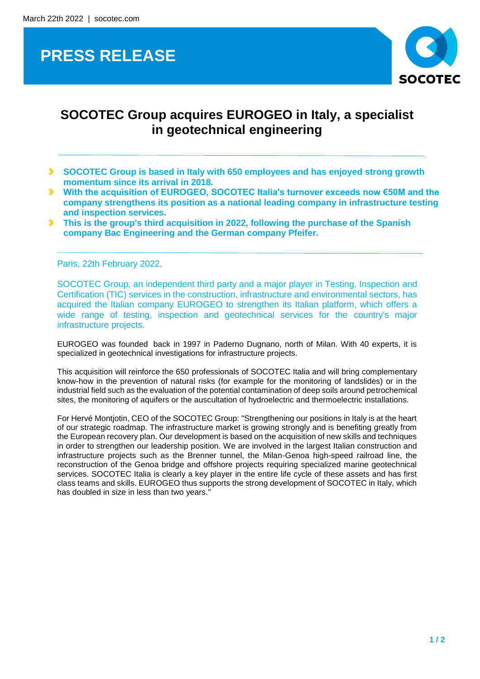## **PRESS RELEASE**



## **SOCOTEC Group acquires EUROGEO in Italy, a specialist in geotechnical engineering**

- **SOCOTEC Group is based in Italy with 650 employees and has enjoyed strong growth momentum since its arrival in 2018.**
- $\blacktriangleright$ **With the acquisition of EUROGEO, SOCOTEC Italia's turnover exceeds now €50M and the company strengthens its position as a national leading company in infrastructure testing and inspection services.**
- **This is the group's third acquisition in 2022, following the purchase of the Spanish company Bac Engineering and the German company Pfeifer.**

Paris, 22th February 2022,

SOCOTEC Group, an independent third party and a major player in Testing, Inspection and Certification (TIC) services in the construction, infrastructure and environmental sectors, has acquired the Italian company EUROGEO to strengthen its Italian platform, which offers a wide range of testing, inspection and geotechnical services for the country's major infrastructure projects.

EUROGEO was founded back in 1997 in Paderno Dugnano, north of Milan. With 40 experts, it is specialized in geotechnical investigations for infrastructure projects.

This acquisition will reinforce the 650 professionals of SOCOTEC Italia and will bring complementary know-how in the prevention of natural risks (for example for the monitoring of landslides) or in the industrial field such as the evaluation of the potential contamination of deep soils around petrochemical sites, the monitoring of aquifers or the auscultation of hydroelectric and thermoelectric installations.

For Hervé Montjotin, CEO of the SOCOTEC Group: "Strengthening our positions in Italy is at the heart of our strategic roadmap. The infrastructure market is growing strongly and is benefiting greatly from the European recovery plan. Our development is based on the acquisition of new skills and techniques in order to strengthen our leadership position. We are involved in the largest Italian construction and infrastructure projects such as the Brenner tunnel, the Milan-Genoa high-speed railroad line, the reconstruction of the Genoa bridge and offshore projects requiring specialized marine geotechnical services. SOCOTEC Italia is clearly a key player in the entire life cycle of these assets and has first class teams and skills. EUROGEO thus supports the strong development of SOCOTEC in Italy, which has doubled in size in less than two years."